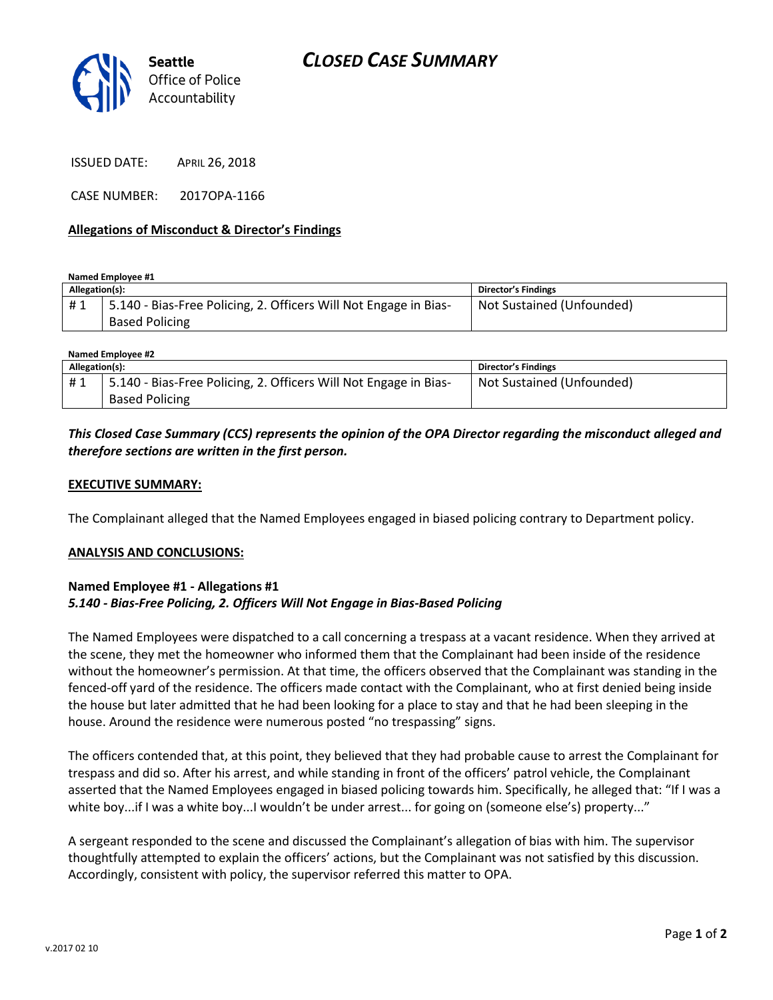

ISSUED DATE: APRIL 26, 2018

CASE NUMBER: 2017OPA-1166

#### **Allegations of Misconduct & Director's Findings**

**Named Employee #1**

| Allegation(s):        |                                                                  | Director's Findings       |
|-----------------------|------------------------------------------------------------------|---------------------------|
| #1                    | 5.140 - Bias-Free Policing, 2. Officers Will Not Engage in Bias- | Not Sustained (Unfounded) |
| <b>Based Policing</b> |                                                                  |                           |

| Named Emplovee #2 |                                                                  |                           |  |
|-------------------|------------------------------------------------------------------|---------------------------|--|
| Allegation(s):    |                                                                  | Director's Findings       |  |
| #1                | 5.140 - Bias-Free Policing, 2. Officers Will Not Engage in Bias- | Not Sustained (Unfounded) |  |
|                   | <b>Based Policing</b>                                            |                           |  |

## *This Closed Case Summary (CCS) represents the opinion of the OPA Director regarding the misconduct alleged and therefore sections are written in the first person.*

#### **EXECUTIVE SUMMARY:**

The Complainant alleged that the Named Employees engaged in biased policing contrary to Department policy.

#### **ANALYSIS AND CONCLUSIONS:**

#### **Named Employee #1 - Allegations #1** *5.140 - Bias-Free Policing, 2. Officers Will Not Engage in Bias-Based Policing*

The Named Employees were dispatched to a call concerning a trespass at a vacant residence. When they arrived at the scene, they met the homeowner who informed them that the Complainant had been inside of the residence without the homeowner's permission. At that time, the officers observed that the Complainant was standing in the fenced-off yard of the residence. The officers made contact with the Complainant, who at first denied being inside the house but later admitted that he had been looking for a place to stay and that he had been sleeping in the house. Around the residence were numerous posted "no trespassing" signs.

The officers contended that, at this point, they believed that they had probable cause to arrest the Complainant for trespass and did so. After his arrest, and while standing in front of the officers' patrol vehicle, the Complainant asserted that the Named Employees engaged in biased policing towards him. Specifically, he alleged that: "If I was a white boy...if I was a white boy...I wouldn't be under arrest... for going on (someone else's) property..."

A sergeant responded to the scene and discussed the Complainant's allegation of bias with him. The supervisor thoughtfully attempted to explain the officers' actions, but the Complainant was not satisfied by this discussion. Accordingly, consistent with policy, the supervisor referred this matter to OPA.